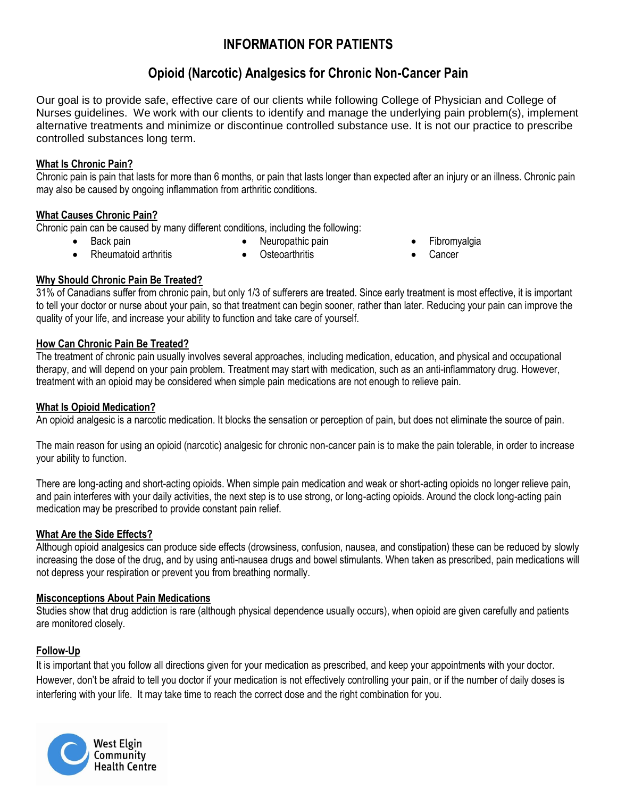# **INFORMATION FOR PATIENTS**

# **Opioid (Narcotic) Analgesics for Chronic Non-Cancer Pain**

Our goal is to provide safe, effective care of our clients while following College of Physician and College of Nurses guidelines. We work with our clients to identify and manage the underlying pain problem(s), implement alternative treatments and minimize or discontinue controlled substance use. It is not our practice to prescribe controlled substances long term.

#### **What Is Chronic Pain?**

Chronic pain is pain that lasts for more than 6 months, or pain that lasts longer than expected after an injury or an illness. Chronic pain may also be caused by ongoing inflammation from arthritic conditions.

### **What Causes Chronic Pain?**

Chronic pain can be caused by many different conditions, including the following:

Back pain

- Neuropathic pain
- Fibromyalgia
- Rheumatoid arthritis
- Osteoarthritis

**Cancer** 

## **Why Should Chronic Pain Be Treated?**

31% of Canadians suffer from chronic pain, but only 1/3 of sufferers are treated. Since early treatment is most effective, it is important to tell your doctor or nurse about your pain, so that treatment can begin sooner, rather than later. Reducing your pain can improve the quality of your life, and increase your ability to function and take care of yourself.

### **How Can Chronic Pain Be Treated?**

The treatment of chronic pain usually involves several approaches, including medication, education, and physical and occupational therapy, and will depend on your pain problem. Treatment may start with medication, such as an anti-inflammatory drug. However, treatment with an opioid may be considered when simple pain medications are not enough to relieve pain.

## **What Is Opioid Medication?**

An opioid analgesic is a narcotic medication. It blocks the sensation or perception of pain, but does not eliminate the source of pain.

The main reason for using an opioid (narcotic) analgesic for chronic non-cancer pain is to make the pain tolerable, in order to increase your ability to function.

There are long-acting and short-acting opioids. When simple pain medication and weak or short-acting opioids no longer relieve pain, and pain interferes with your daily activities, the next step is to use strong, or long-acting opioids. Around the clock long-acting pain medication may be prescribed to provide constant pain relief.

## **What Are the Side Effects?**

Although opioid analgesics can produce side effects (drowsiness, confusion, nausea, and constipation) these can be reduced by slowly increasing the dose of the drug, and by using anti-nausea drugs and bowel stimulants. When taken as prescribed, pain medications will not depress your respiration or prevent you from breathing normally.

#### **Misconceptions About Pain Medications**

Studies show that drug addiction is rare (although physical dependence usually occurs), when opioid are given carefully and patients are monitored closely.

## **Follow-Up**

It is important that you follow all directions given for your medication as prescribed, and keep your appointments with your doctor. However, don't be afraid to tell you doctor if your medication is not effectively controlling your pain, or if the number of daily doses is interfering with your life. It may take time to reach the correct dose and the right combination for you.

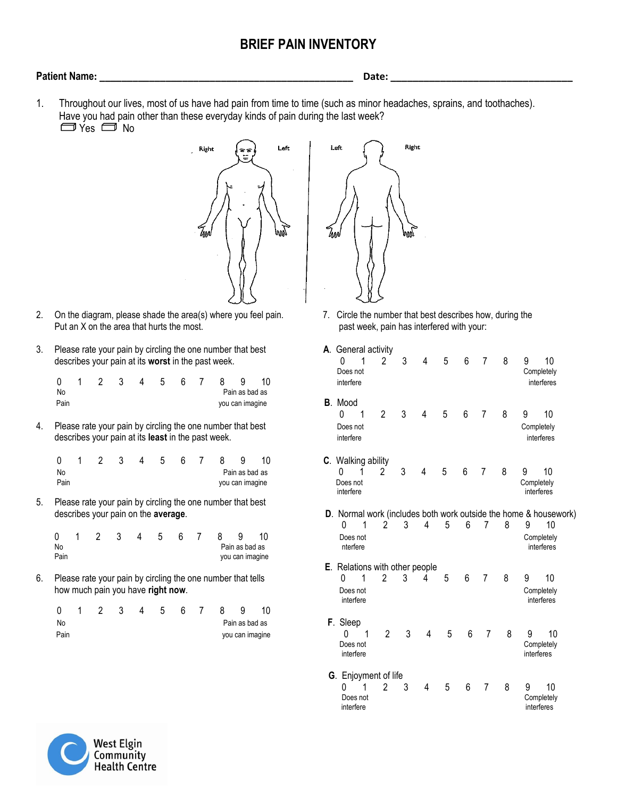# **BRIEF PAIN INVENTORY**

### **Patient Name: \_\_\_\_\_\_\_\_\_\_\_\_\_\_\_\_\_\_\_\_\_\_\_\_\_\_\_\_\_\_\_\_\_\_\_\_\_\_\_\_\_\_\_\_\_\_ Date: \_\_\_\_\_\_\_\_\_\_\_\_\_\_\_\_\_\_\_\_\_\_\_\_\_\_\_\_\_\_\_\_\_**

1. Throughout our lives, most of us have had pain from time to time (such as minor headaches, sprains, and toothaches). Have you had pain other than these everyday kinds of pain during the last week? □ Yes □ No



- 2. On the diagram, please shade the area(s) where you feel pain. 7. Circle the number that best describes how, during the Put an X on the area that hurts the most. past week, pain has interfered with your:
- 3. Please rate your pain by circling the one number that best describes your pain at its worst in the past week.

|      |  |  |  |  | 0 1 2 3 4 5 6 7 8 9 10 |  | interfer        |
|------|--|--|--|--|------------------------|--|-----------------|
| No   |  |  |  |  | Pain as bad as         |  |                 |
| Pain |  |  |  |  | you can imagine        |  | <b>B</b> . Mood |

|      | 0 1 2 3 4 5 6 7 8 9 |  |  |  |                 | - 10 | C. Walking ability |                                             |  |
|------|---------------------|--|--|--|-----------------|------|--------------------|---------------------------------------------|--|
| No   |                     |  |  |  | Pain as bad as  |      |                    | $\begin{array}{cccc} 0 & 1 & 2 \end{array}$ |  |
| Pain |                     |  |  |  | you can imagine |      | Does not           |                                             |  |

|      |  | $\sim$ 3 | 4 5 6 |  | 89              | - 10 |
|------|--|----------|-------|--|-----------------|------|
| No   |  |          |       |  | Pain as bad as  |      |
| Pain |  |          |       |  | you can imagine |      |

|      |  |  |  | 0 1 2 3 4 5 6 7 8 9 |                 |          |
|------|--|--|--|---------------------|-----------------|----------|
| No   |  |  |  |                     | Pain as bad as  | F. Sleep |
| Pain |  |  |  |                     | you can imagine |          |



| 3. |                 | Please rate your pain by circling the one number that best<br>describes your pain at its worst in the past week. |   |   | A. General activity<br>0 | 2                                                                                                                | 3 | 4 | 5 | 6                                      | 7  | 8 | 9<br>10                                                               |                |   |   |   |   |                |   |                          |                                |  |
|----|-----------------|------------------------------------------------------------------------------------------------------------------|---|---|--------------------------|------------------------------------------------------------------------------------------------------------------|---|---|---|----------------------------------------|----|---|-----------------------------------------------------------------------|----------------|---|---|---|---|----------------|---|--------------------------|--------------------------------|--|
|    | 0<br>No         |                                                                                                                  | 2 | 3 | 4                        | 5                                                                                                                | 6 |   | 8 | 9<br>Pain as bad as                    | 10 |   | Does not<br>interfere                                                 |                |   |   |   |   |                |   | Completely<br>interferes |                                |  |
|    | Pain            |                                                                                                                  |   |   |                          |                                                                                                                  |   |   |   | you can imagine                        |    |   | <b>B</b> . Mood<br>0                                                  | $\overline{2}$ |   |   | 5 | 6 | 7              | 8 | 9                        | 10                             |  |
| 4. |                 |                                                                                                                  |   |   |                          | Please rate your pain by circling the one number that best<br>describes your pain at its least in the past week. |   |   |   |                                        |    |   | Does not<br>interfere                                                 |                |   |   |   |   |                |   |                          | Completely<br>interferes       |  |
|    | 0<br>No<br>Pain |                                                                                                                  | 2 | 3 | 4                        | 5                                                                                                                | 6 |   | 8 | 9<br>Pain as bad as<br>you can imagine | 10 |   | C. Walking ability<br>0<br>Does not<br>interfere                      | $\mathfrak{p}$ | 3 | 4 | 5 | 6 |                | 8 | 9<br>Completely          | 10<br>interferes               |  |
| 5. |                 |                                                                                                                  |   |   |                          | Please rate your pain by circling the one number that best<br>describes your pain on the average.                |   |   |   |                                        |    |   | D. Normal work (includes both work outside the home & housework)<br>0 | 2              | 3 | 4 | 5 | 6 | 7              | 8 | 9                        | 10                             |  |
|    | 0<br>No<br>Pain | 1                                                                                                                | 2 | 3 |                          | 5                                                                                                                | 6 | 7 | 8 | 9<br>Pain as bad as<br>you can imagine | 10 |   | Does not<br>nterfere                                                  |                |   |   |   |   |                |   |                          | Completely<br>interferes       |  |
|    |                 |                                                                                                                  |   |   |                          |                                                                                                                  |   |   |   |                                        |    |   | E. Relations with other people                                        |                |   |   |   |   |                |   |                          |                                |  |
| 6. |                 |                                                                                                                  |   |   |                          | Please rate your pain by circling the one number that tells<br>how much pain you have right now.                 |   |   |   |                                        |    |   | 0<br>Does not<br>interfere                                            | 2              | 3 | 4 | 5 | 6 | $\overline{7}$ | 8 | 9                        | 10<br>Completely<br>interferes |  |
|    | 0<br>No         |                                                                                                                  |   | 3 | 4                        | 5                                                                                                                | 6 |   | 8 | 9<br>Pain as bad as                    | 10 |   | F. Sleep                                                              |                |   |   |   |   |                |   |                          |                                |  |
|    | Pain            |                                                                                                                  |   |   |                          |                                                                                                                  |   |   |   | you can imagine                        |    |   | U<br>Does not<br>interfere                                            | $\overline{2}$ | 3 | 4 | 5 | 6 | 7              | 8 | 9<br>interferes          | 10<br>Completely               |  |
|    |                 |                                                                                                                  |   |   |                          |                                                                                                                  |   |   |   |                                        |    |   | G. Enjoyment of life<br>Does not<br>interfere                         | 2              | 3 | 4 | 5 | 6 | 7              | 8 | 9                        | 10<br>Completely<br>interferes |  |

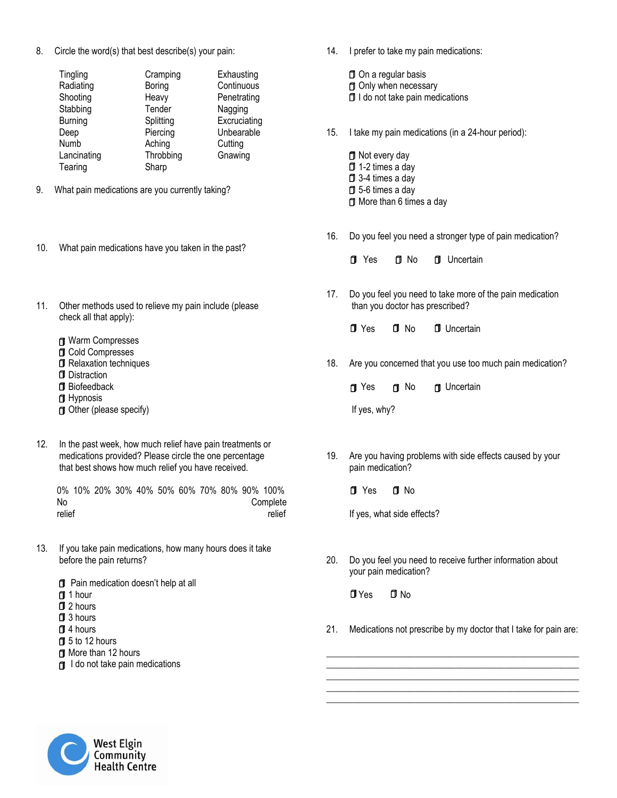8. Circle the word(s) that best describe(s) your pain:

| Tingling       | Cramping  | Exhausting   |
|----------------|-----------|--------------|
| Radiating      | Boring    | Continuous   |
| Shooting       | Heavy     | Penetrating  |
| Stabbing       | Tender    | Nagging      |
| <b>Burning</b> | Splitting | Excruciating |
| Deep           | Piercing  | Unbearable   |
| Numb           | Aching    | Cutting      |
| Lancinating    | Throbbing | Gnawing      |
| Tearing        | Sharp     |              |

- 9. What pain medications are you currently taking?
- 10. What pain medications have you taken in the past?
- 11. Other methods used to relieve my pain include (please check all that apply):
	- Warm Compresses Cold Compresses **D** Relaxation techniques Distraction Biofeedback **d** Hypnosis Other (please specify)
- 12. In the past week, how much relief have pain treatments or medications provided? Please circle the one percentage that best shows how much relief you have received.

 0% 10% 20% 30% 40% 50% 60% 70% 80% 90% 100% No Complete relief relief relief relief relief

- 13. If you take pain medications, how many hours does it take before the pain returns?
	- Pain medication doesn't help at all
	- f 1 hour
	- 2 hours
	- 3 hours
	- 4 hours
	- 5 to 12 hours
	- **D** More than 12 hours
	- $\Box$  I do not take pain medications

14. I prefer to take my pain medications:

**D** On a regular basis

- **D** Only when necessary
- $\Box$  I do not take pain medications
- 15. I take my pain medications (in a 24-hour period):

**D** Not every day 1-2 times a day 3-4 times a day 5-6 times a day **If** More than 6 times a day

- 16. Do you feel you need a stronger type of pain medication?
	- **T** Yes **T** No **T** Uncertain
- 17. Do you feel you need to take more of the pain medication than you doctor has prescribed?

Yes No Uncertain

18. Are you concerned that you use too much pain medication?

d Yes d No d Uncertain

If yes, why?

19. Are you having problems with side effects caused by your pain medication?

fl Yes fl No

If yes, what side effects?

20. Do you feel you need to receive further information about your pain medication?

Yes No

21. Medications not prescribe by my doctor that I take for pain are:

\_\_\_\_\_\_\_\_\_\_\_\_\_\_\_\_\_\_\_\_\_\_\_\_\_\_\_\_\_\_\_\_\_\_\_\_\_\_\_\_\_\_\_\_\_\_\_\_\_\_\_\_\_\_\_ \_\_\_\_\_\_\_\_\_\_\_\_\_\_\_\_\_\_\_\_\_\_\_\_\_\_\_\_\_\_\_\_\_\_\_\_\_\_\_\_\_\_\_\_\_\_\_\_\_\_\_\_\_\_\_ \_\_\_\_\_\_\_\_\_\_\_\_\_\_\_\_\_\_\_\_\_\_\_\_\_\_\_\_\_\_\_\_\_\_\_\_\_\_\_\_\_\_\_\_\_\_\_\_\_\_\_\_\_\_\_ \_\_\_\_\_\_\_\_\_\_\_\_\_\_\_\_\_\_\_\_\_\_\_\_\_\_\_\_\_\_\_\_\_\_\_\_\_\_\_\_\_\_\_\_\_\_\_\_\_\_\_\_\_\_\_ \_\_\_\_\_\_\_\_\_\_\_\_\_\_\_\_\_\_\_\_\_\_\_\_\_\_\_\_\_\_\_\_\_\_\_\_\_\_\_\_\_\_\_\_\_\_\_\_\_\_\_\_\_\_\_

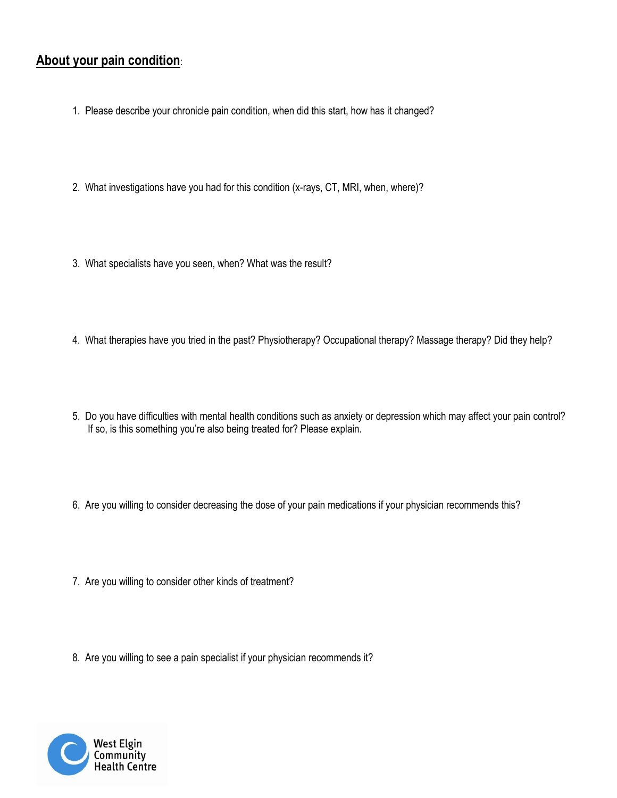# **About your pain condition**:

- 1. Please describe your chronicle pain condition, when did this start, how has it changed?
- 2. What investigations have you had for this condition (x-rays, CT, MRI, when, where)?
- 3. What specialists have you seen, when? What was the result?
- 4. What therapies have you tried in the past? Physiotherapy? Occupational therapy? Massage therapy? Did they help?
- 5. Do you have difficulties with mental health conditions such as anxiety or depression which may affect your pain control? If so, is this something you're also being treated for? Please explain.
- 6. Are you willing to consider decreasing the dose of your pain medications if your physician recommends this?
- 7. Are you willing to consider other kinds of treatment?
- 8. Are you willing to see a pain specialist if your physician recommends it?